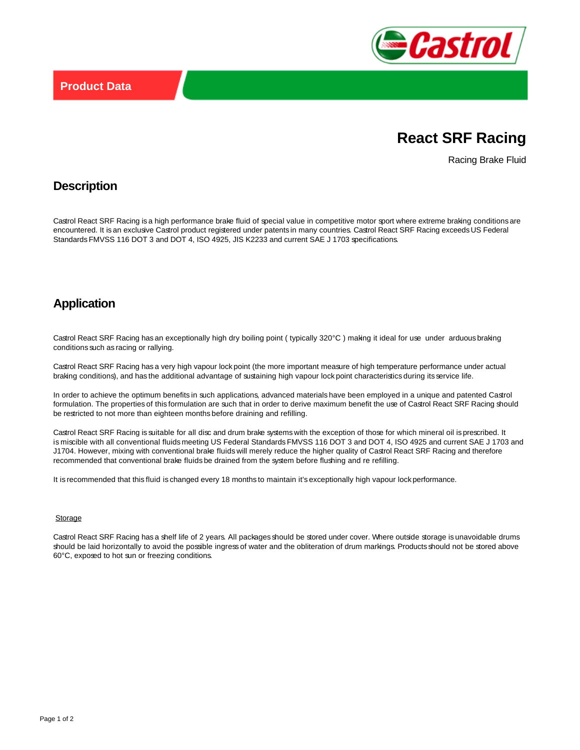

# **React SRF Racing**

Racing Brake Fluid

### **Description**

Castrol React SRF Racing is a high performance brake fluid of special value in competitive motor sport where extreme braking conditions are encountered. It is an exclusive Castrol product registered under patents in many countries. Castrol React SRF Racing exceeds US Federal Standards FMVSS 116 DOT 3 and DOT 4, ISO 4925, JIS K2233 and current SAE J 1703 specifications.

### **Application**

Castrol React SRF Racing has an exceptionally high dry boiling point ( typically 320°C ) making it ideal for use under arduous braking conditions such as racing or rallying.

Castrol React SRF Racing has a very high vapour lock point (the more important measure of high temperature performance under actual braking conditions), and has the additional advantage of sustaining high vapour lock point characteristics during its service life.

In order to achieve the optimum benefits in such applications, advanced materials have been employed in a unique and patented Castrol formulation. The properties of this formulation are such that in order to derive maximum benefit the use of Castrol React SRF Racing should be restricted to not more than eighteen months before draining and refilling.

Castrol React SRF Racing is suitable for all disc and drum brake systems with the exception of those for which mineral oil is prescribed. It is miscible with all conventional fluids meeting US Federal Standards FMVSS 116 DOT 3 and DOT 4, ISO 4925 and current SAE J 1703 and J1704. However, mixing with conventional brake fluids will merely reduce the higher quality of Castrol React SRF Racing and therefore recommended that conventional brake fluids be drained from the system before flushing and re refilling.

It is recommended that this fluid is changed every 18 months to maintain it's exceptionally high vapour lock performance.

#### **Storage**

Castrol React SRF Racing has a shelf life of 2 years. All packages should be stored under cover. Where outside storage is unavoidable drums should be laid horizontally to avoid the possible ingress of water and the obliteration of drum markings. Products should not be stored above 60°C, exposed to hot sun or freezing conditions.